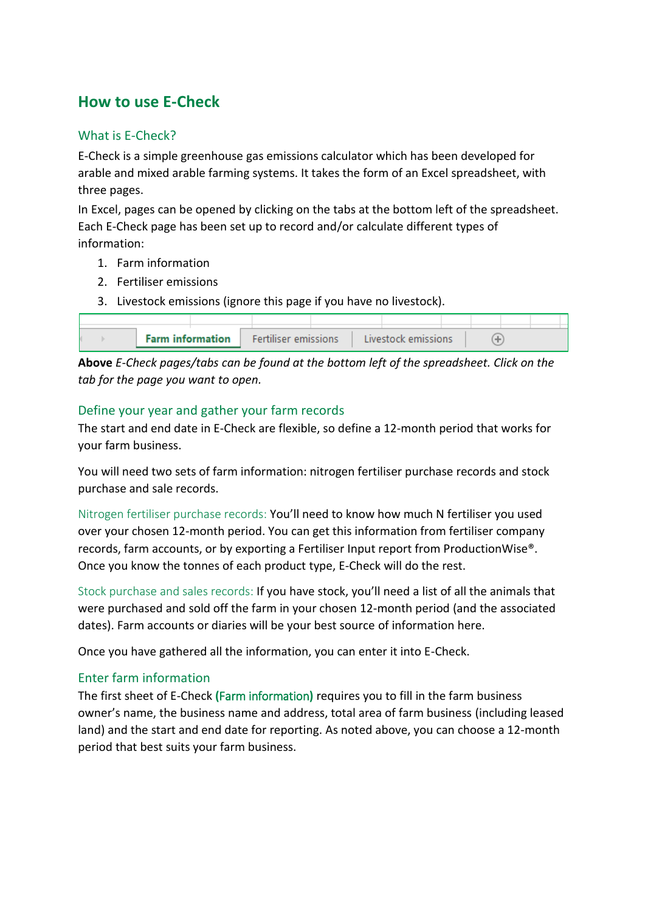## **How to use E-Check**

#### What is E-Check?

E-Check is a simple greenhouse gas emissions calculator which has been developed for arable and mixed arable farming systems. It takes the form of an Excel spreadsheet, with three pages.

In Excel, pages can be opened by clicking on the tabs at the bottom left of the spreadsheet. Each E-Check page has been set up to record and/or calculate different types of information:

- 1. Farm information
- 2. Fertiliser emissions
- 3. Livestock emissions (ignore this page if you have no livestock).

|  | <b>Farm information</b> | <b>Fertiliser emissions</b> |  | <b>Livestock emissions</b> |  |  |  |
|--|-------------------------|-----------------------------|--|----------------------------|--|--|--|

**Above** *E-Check pages/tabs can be found at the bottom left of the spreadsheet. Click on the tab for the page you want to open.*

#### Define your year and gather your farm records

The start and end date in E-Check are flexible, so define a 12-month period that works for your farm business.

You will need two sets of farm information: nitrogen fertiliser purchase records and stock purchase and sale records.

Nitrogen fertiliser purchase records: You'll need to know how much N fertiliser you used over your chosen 12-month period. You can get this information from fertiliser company records, farm accounts, or by exporting a Fertiliser Input report from ProductionWise®. Once you know the tonnes of each product type, E-Check will do the rest.

Stock purchase and sales records: If you have stock, you'll need a list of all the animals that were purchased and sold off the farm in your chosen 12-month period (and the associated dates). Farm accounts or diaries will be your best source of information here.

Once you have gathered all the information, you can enter it into E-Check.

### Enter farm information

The first sheet of E-Check **(**Farm information**)** requires you to fill in the farm business owner's name, the business name and address, total area of farm business (including leased land) and the start and end date for reporting. As noted above, you can choose a 12-month period that best suits your farm business.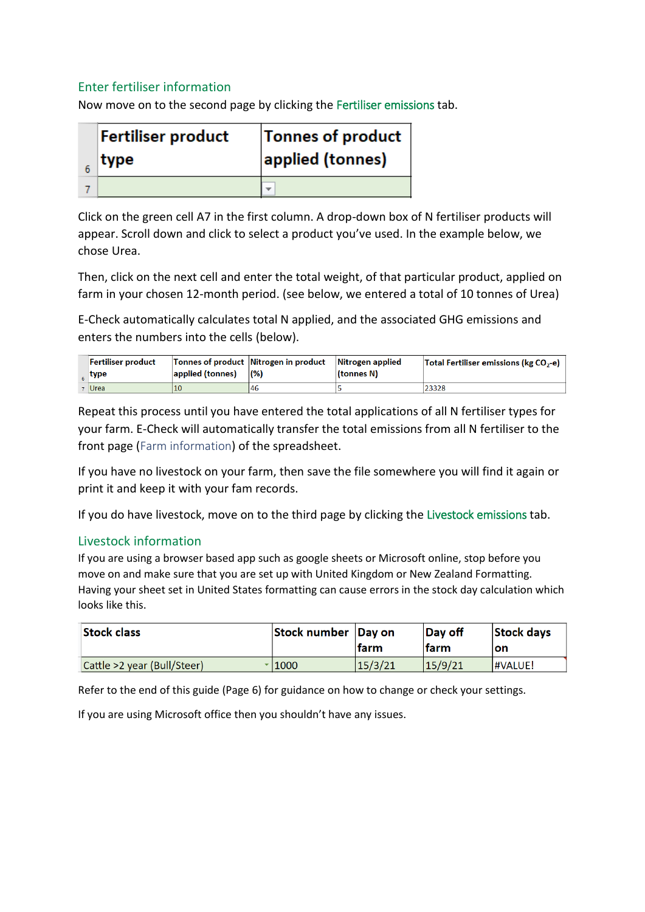#### Enter fertiliser information

Now move on to the second page by clicking the Fertiliser emissions tab.

| <b>Fertiliser product</b> | Tonnes of product |
|---------------------------|-------------------|
| type                      | applied (tonnes)  |
|                           |                   |

Click on the green cell A7 in the first column. A drop-down box of N fertiliser products will appear. Scroll down and click to select a product you've used. In the example below, we chose Urea.

Then, click on the next cell and enter the total weight, of that particular product, applied on farm in your chosen 12-month period. (see below, we entered a total of 10 tonnes of Urea)

E-Check automatically calculates total N applied, and the associated GHG emissions and enters the numbers into the cells (below).

| Fertiliser product<br>$_{6}$ type | applied (tonnes) | Tonnes of product Nitrogen in product<br>(% ) | Nitrogen applied<br>(tonnes N) | <b>Total Fertiliser emissions (kg CO<sub>2</sub>-e)</b> |
|-----------------------------------|------------------|-----------------------------------------------|--------------------------------|---------------------------------------------------------|
| 7   Urea                          | 10               | 146                                           |                                | 23328                                                   |

Repeat this process until you have entered the total applications of all N fertiliser types for your farm. E-Check will automatically transfer the total emissions from all N fertiliser to the front page (Farm information) of the spreadsheet.

If you have no livestock on your farm, then save the file somewhere you will find it again or print it and keep it with your fam records.

If you do have livestock, move on to the third page by clicking the Livestock emissions tab.

#### Livestock information

If you are using a browser based app such as google sheets or Microsoft online, stop before you move on and make sure that you are set up with United Kingdom or New Zealand Formatting. Having your sheet set in United States formatting can cause errors in the stock day calculation which looks like this.

| <b>Stock class</b>          | Stock number Day on | <b>Ifarm</b> | <b>Day off</b><br><b>farm</b> | Stock days<br>lon |
|-----------------------------|---------------------|--------------|-------------------------------|-------------------|
| Cattle >2 year (Bull/Steer) | 11000 کا            | 15/3/21      | 15/9/21                       | <b>HVALUE!</b>    |

Refer to the end of this guide (Page 6) for guidance on how to change or check your settings.

If you are using Microsoft office then you shouldn't have any issues.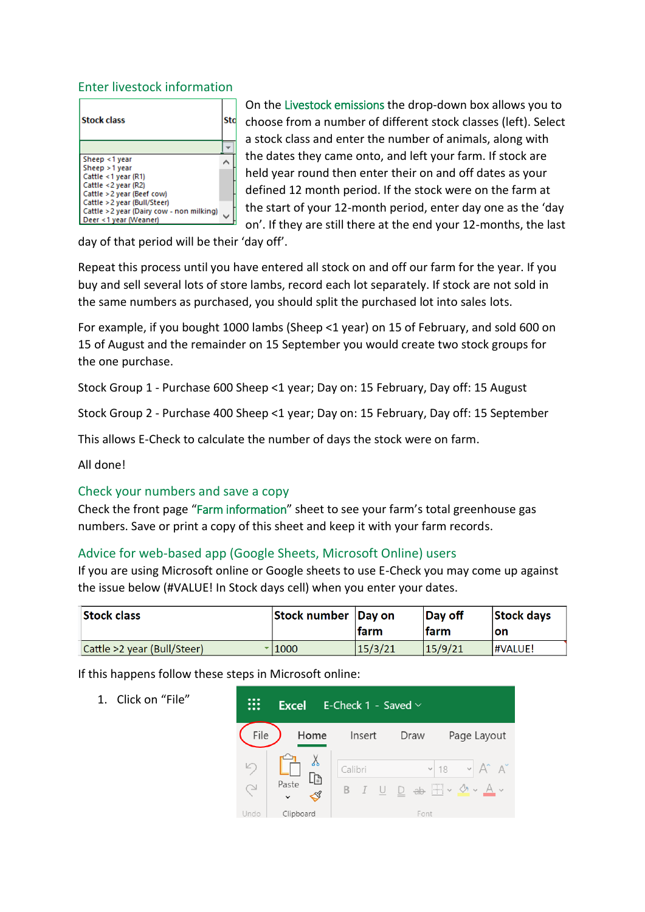#### Enter livestock information

| <b>Stock class</b>                                                 |  |
|--------------------------------------------------------------------|--|
|                                                                    |  |
| Sheep <1 year                                                      |  |
| Sheep > 1 year                                                     |  |
| Cattle <1 year (R1)                                                |  |
| Cattle <2 year (R2)                                                |  |
| Cattle > 2 year (Beef cow)                                         |  |
| Cattle > 2 year (Bull/Steer)                                       |  |
| Cattle > 2 year (Dairy cow - non milking)<br>Deer <1 year (Weaner) |  |

On the Livestock emissions the drop-down box allows you to choose from a number of different stock classes (left). Select a stock class and enter the number of animals, along with the dates they came onto, and left your farm. If stock are held year round then enter their on and off dates as your defined 12 month period. If the stock were on the farm at the start of your 12-month period, enter day one as the 'day on'. If they are still there at the end your 12-months, the last

day of that period will be their 'day off'.

Repeat this process until you have entered all stock on and off our farm for the year. If you buy and sell several lots of store lambs, record each lot separately. If stock are not sold in the same numbers as purchased, you should split the purchased lot into sales lots.

For example, if you bought 1000 lambs (Sheep <1 year) on 15 of February, and sold 600 on 15 of August and the remainder on 15 September you would create two stock groups for the one purchase.

Stock Group 1 - Purchase 600 Sheep <1 year; Day on: 15 February, Day off: 15 August

Stock Group 2 - Purchase 400 Sheep <1 year; Day on: 15 February, Day off: 15 September

This allows E-Check to calculate the number of days the stock were on farm.

All done!

#### Check your numbers and save a copy

Check the front page "Farm information" sheet to see your farm's total greenhouse gas numbers. Save or print a copy of this sheet and keep it with your farm records.

#### Advice for web-based app (Google Sheets, Microsoft Online) users

If you are using Microsoft online or Google sheets to use E-Check you may come up against the issue below (#VALUE! In Stock days cell) when you enter your dates.

| <b>Stock class</b>          | Stock number Day on | <b>Ifarm</b> | <b>Day off</b><br>lfarm | Stock days<br><b>on</b> |
|-----------------------------|---------------------|--------------|-------------------------|-------------------------|
| Cattle >2 year (Bull/Steer) | $\cdot$   1000      | 15/3/21      | 15/9/21                 | <b>HVALUE!</b>          |

If this happens follow these steps in Microsoft online:

1. Click on "File"

|             | <b>Excel</b>                            | E-Check 1 - Saved $\vee$ |      |                                                |
|-------------|-----------------------------------------|--------------------------|------|------------------------------------------------|
| File        | Home                                    | Insert                   | Draw | Page Layout                                    |
| $\cup$<br>G | $\overline{L}$<br>Paste<br>$\checkmark$ | Calibri                  |      | $\vee$ 18 $\vee$ A <sup>*</sup> A <sup>*</sup> |
| Undo        | Clipboard                               |                          | Font |                                                |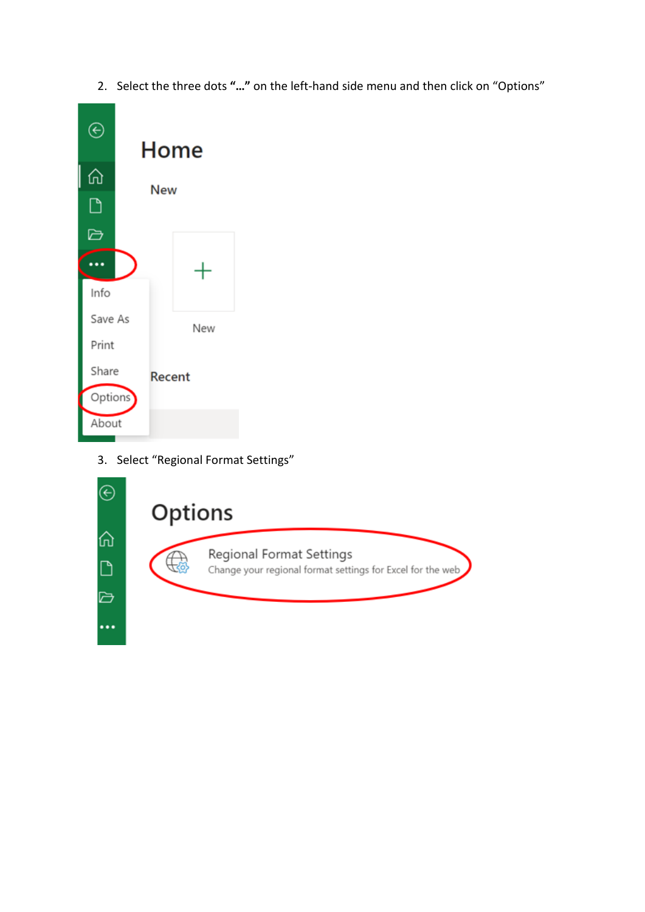2. Select the three dots **"…"** on the left-hand side menu and then click on "Options"



3. Select "Regional Format Settings"

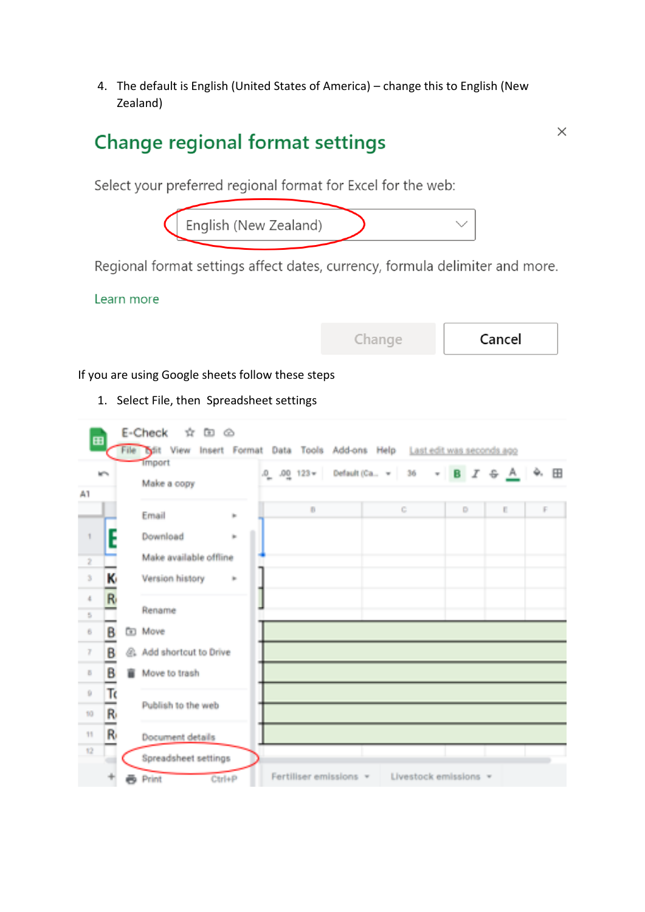4. The default is English (United States of America) – change this to English (New Zealand)

# Change regional format settings

 $\times$ 

Select your preferred regional format for Excel for the web:



Regional format settings affect dates, currency, formula delimiter and more.

Learn more

| Jnande | Сa |
|--------|----|
|--------|----|

ancel

If you are using Google sheets follow these steps

1. Select File, then Spreadsheet settings

| m   |                        | File 1 | E-Check<br>Ŵ.<br>m e<br>View<br>Ъ.<br>Insert | Format |    | Data Tools Add-ons Help |                 |                       |                |                     | Last edit was seconds ago |    |   |
|-----|------------------------|--------|----------------------------------------------|--------|----|-------------------------|-----------------|-----------------------|----------------|---------------------|---------------------------|----|---|
| A1  | <b>MTV</b>             |        | <b>Import</b><br>Make a copy                 |        |    | $.0 - .001123 =$        | Default (Ca., v | 36                    | <b>Section</b> | $\mathbf{B}$ .<br>X | 용 흐                       | ÷. | H |
|     |                        |        | Email                                        | îн.    |    | B                       |                 | C.                    |                | D.                  | E.                        | F  |   |
|     | F                      |        | Download                                     | in.    |    |                         |                 |                       |                |                     |                           |    |   |
| ż   |                        |        | Make available offline                       |        |    |                         |                 |                       |                |                     |                           |    |   |
| ă.  | Κ                      |        | Version history                              | in.    |    |                         |                 |                       |                |                     |                           |    |   |
| d.  | R                      |        |                                              |        |    |                         |                 |                       |                |                     |                           |    |   |
| S.  |                        |        | Rename                                       |        |    |                         |                 |                       |                |                     |                           |    |   |
| ë.  | B<br><b>STATISTICS</b> | ß0     | Move                                         |        |    |                         |                 |                       |                |                     |                           |    |   |
| Ŧ   | в<br>-                 |        | St. Add shortout to Drive                    |        |    |                         |                 |                       |                |                     |                           |    |   |
| B.  | В                      |        | Move to trash                                |        |    |                         |                 |                       |                |                     |                           |    |   |
| Ŷ.  | Τ                      |        |                                              |        |    |                         |                 |                       |                |                     |                           |    |   |
| 10  | R,<br>-                |        | Publish to the web                           |        | шt |                         |                 |                       |                |                     |                           |    |   |
| 11. | R                      |        | Document details                             |        |    |                         |                 |                       |                |                     |                           |    |   |
| 12  |                        |        | Spreadsheet settings                         |        |    |                         |                 |                       |                |                     |                           |    |   |
|     |                        |        | Print<br>Ctrl+P                              |        |    | Fertiliser emissions v  |                 | Livestock emissions v |                |                     |                           |    |   |